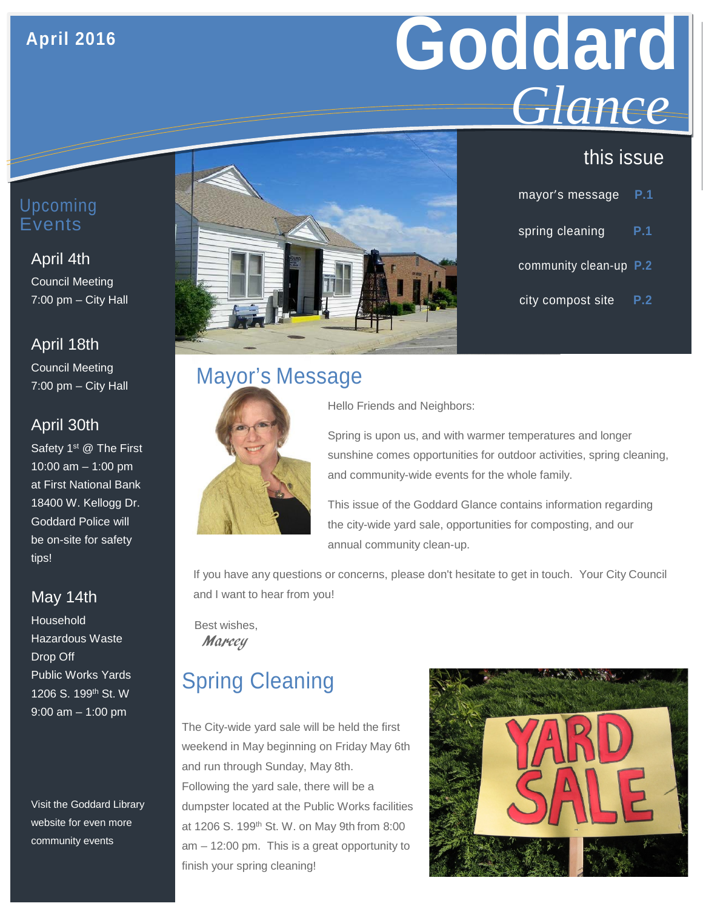# **April 2016**

# **Goddard** *Glance*

# this issue

mayor's message **P.1** 

spring cleaning **P.1** 

community clean-up **P.2**

city compost site **P.2**

| Upcoming |
|----------|
| Events   |

# April 4th

Council Meeting 7:00 pm – City Hall

## April 18th

Council Meeting 7:00 pm – City Hall

#### April 30th

Safety 1<sup>st</sup> @ The First 10:00 am – 1:00 pm at First National Bank 18400 W. Kellogg Dr. Goddard Police will be on-site for safety tips!

#### May 14th

Household Hazardous Waste Drop Off Public Works Yards 1206 S. 199th St. W 9:00 am – 1:00 pm

Visit the Goddard Library website for even more community events



# Mayor's Message



Hello Friends and Neighbors:

Spring is upon us, and with warmer temperatures and longer sunshine comes opportunities for outdoor activities, spring cleaning, and community-wide events for the whole family.

This issue of the Goddard Glance contains information regarding the city-wide yard sale, opportunities for composting, and our annual community clean-up.

If you have any questions or concerns, please don't hesitate to get in touch. Your City Council and I want to hear from you!

 Best wishes, Marcey

# Spring Cleaning

The City-wide yard sale will be held the first weekend in May beginning on Friday May 6th and run through Sunday, May 8th. Following the yard sale, there will be a dumpster located at the Public Works facilities at 1206 S. 199th St. W. on May 9th from 8:00 am – 12:00 pm. This is a great opportunity to finish your spring cleaning!